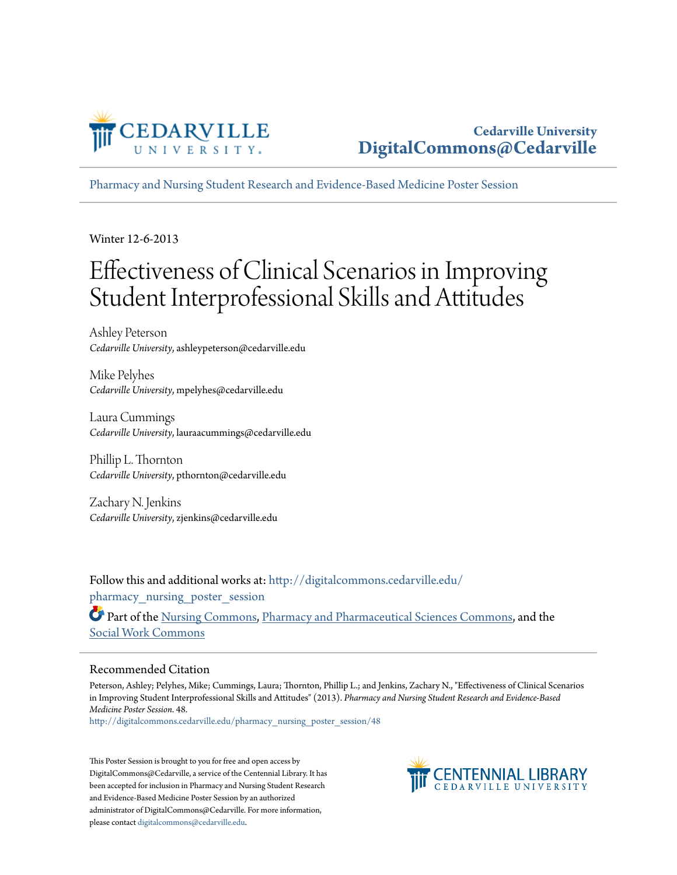

[Pharmacy and Nursing Student Research and Evidence-Based Medicine Poster Session](http://digitalcommons.cedarville.edu/pharmacy_nursing_poster_session?utm_source=digitalcommons.cedarville.edu%2Fpharmacy_nursing_poster_session%2F48&utm_medium=PDF&utm_campaign=PDFCoverPages)

Winter 12-6-2013

#### Effectiveness of Clinical Scenarios in Improving Student Interprofessional Skills and Attitudes

Ashley Peterson *Cedarville University*, ashleypeterson@cedarville.edu

Mike Pelyhes *Cedarville University*, mpelyhes@cedarville.edu

Laura Cummings *Cedarville University*, lauraacummings@cedarville.edu

Phillip L. Thornton *Cedarville University*, pthornton@cedarville.edu

Zachary N. Jenkins *Cedarville University*, zjenkins@cedarville.edu

Follow this and additional works at: [http://digitalcommons.cedarville.edu/](http://digitalcommons.cedarville.edu/pharmacy_nursing_poster_session?utm_source=digitalcommons.cedarville.edu%2Fpharmacy_nursing_poster_session%2F48&utm_medium=PDF&utm_campaign=PDFCoverPages) pharmacy nursing poster session

Part of the [Nursing Commons](http://network.bepress.com/hgg/discipline/718?utm_source=digitalcommons.cedarville.edu%2Fpharmacy_nursing_poster_session%2F48&utm_medium=PDF&utm_campaign=PDFCoverPages), [Pharmacy and Pharmaceutical Sciences Commons,](http://network.bepress.com/hgg/discipline/731?utm_source=digitalcommons.cedarville.edu%2Fpharmacy_nursing_poster_session%2F48&utm_medium=PDF&utm_campaign=PDFCoverPages) and the [Social Work Commons](http://network.bepress.com/hgg/discipline/713?utm_source=digitalcommons.cedarville.edu%2Fpharmacy_nursing_poster_session%2F48&utm_medium=PDF&utm_campaign=PDFCoverPages)

#### Recommended Citation

Peterson, Ashley; Pelyhes, Mike; Cummings, Laura; Thornton, Phillip L.; and Jenkins, Zachary N., "Effectiveness of Clinical Scenarios in Improving Student Interprofessional Skills and Attitudes" (2013). *Pharmacy and Nursing Student Research and Evidence-Based Medicine Poster Session*. 48.

[http://digitalcommons.cedarville.edu/pharmacy\\_nursing\\_poster\\_session/48](http://digitalcommons.cedarville.edu/pharmacy_nursing_poster_session/48?utm_source=digitalcommons.cedarville.edu%2Fpharmacy_nursing_poster_session%2F48&utm_medium=PDF&utm_campaign=PDFCoverPages)

This Poster Session is brought to you for free and open access by DigitalCommons@Cedarville, a service of the Centennial Library. It has been accepted for inclusion in Pharmacy and Nursing Student Research and Evidence-Based Medicine Poster Session by an authorized administrator of DigitalCommons@Cedarville. For more information, please contact [digitalcommons@cedarville.edu.](mailto:digitalcommons@cedarville.edu)